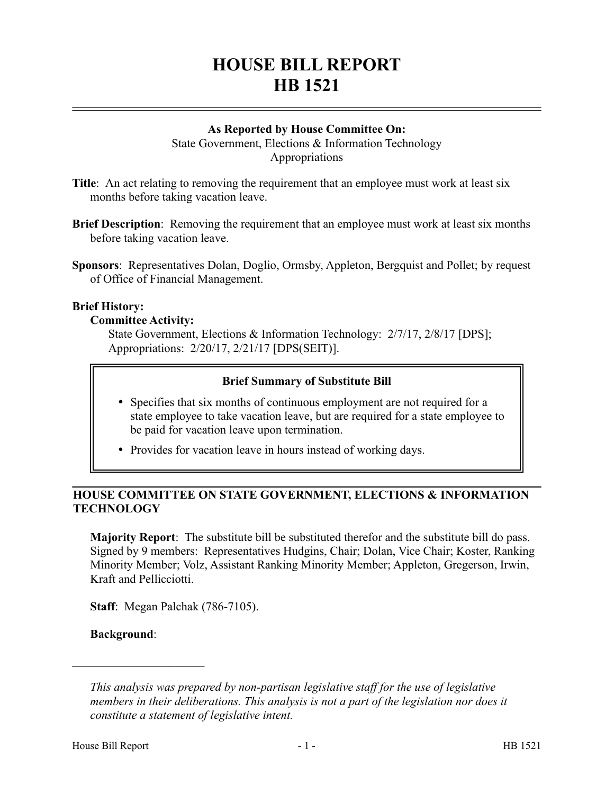# **HOUSE BILL REPORT HB 1521**

## **As Reported by House Committee On:**

State Government, Elections & Information Technology Appropriations

**Title**: An act relating to removing the requirement that an employee must work at least six months before taking vacation leave.

**Brief Description**: Removing the requirement that an employee must work at least six months before taking vacation leave.

**Sponsors**: Representatives Dolan, Doglio, Ormsby, Appleton, Bergquist and Pollet; by request of Office of Financial Management.

### **Brief History:**

## **Committee Activity:**

State Government, Elections & Information Technology: 2/7/17, 2/8/17 [DPS]; Appropriations: 2/20/17, 2/21/17 [DPS(SEIT)].

## **Brief Summary of Substitute Bill**

- Specifies that six months of continuous employment are not required for a state employee to take vacation leave, but are required for a state employee to be paid for vacation leave upon termination.
- Provides for vacation leave in hours instead of working days.

# **HOUSE COMMITTEE ON STATE GOVERNMENT, ELECTIONS & INFORMATION TECHNOLOGY**

**Majority Report**: The substitute bill be substituted therefor and the substitute bill do pass. Signed by 9 members: Representatives Hudgins, Chair; Dolan, Vice Chair; Koster, Ranking Minority Member; Volz, Assistant Ranking Minority Member; Appleton, Gregerson, Irwin, Kraft and Pellicciotti.

**Staff**: Megan Palchak (786-7105).

**Background**:

––––––––––––––––––––––

*This analysis was prepared by non-partisan legislative staff for the use of legislative members in their deliberations. This analysis is not a part of the legislation nor does it constitute a statement of legislative intent.*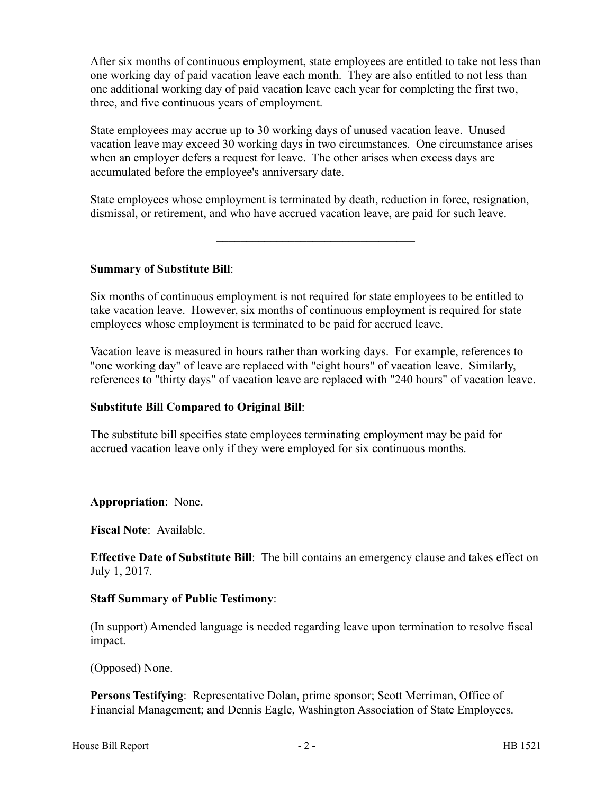After six months of continuous employment, state employees are entitled to take not less than one working day of paid vacation leave each month. They are also entitled to not less than one additional working day of paid vacation leave each year for completing the first two, three, and five continuous years of employment.

State employees may accrue up to 30 working days of unused vacation leave. Unused vacation leave may exceed 30 working days in two circumstances. One circumstance arises when an employer defers a request for leave. The other arises when excess days are accumulated before the employee's anniversary date.

State employees whose employment is terminated by death, reduction in force, resignation, dismissal, or retirement, and who have accrued vacation leave, are paid for such leave.

–––––––––––––––––––––––––––––––––

**Summary of Substitute Bill**:

Six months of continuous employment is not required for state employees to be entitled to take vacation leave. However, six months of continuous employment is required for state employees whose employment is terminated to be paid for accrued leave.

Vacation leave is measured in hours rather than working days. For example, references to "one working day" of leave are replaced with "eight hours" of vacation leave. Similarly, references to "thirty days" of vacation leave are replaced with "240 hours" of vacation leave.

# **Substitute Bill Compared to Original Bill**:

The substitute bill specifies state employees terminating employment may be paid for accrued vacation leave only if they were employed for six continuous months.

**Appropriation**: None.

**Fiscal Note**: Available.

**Effective Date of Substitute Bill**: The bill contains an emergency clause and takes effect on July 1, 2017.

–––––––––––––––––––––––––––––––––

### **Staff Summary of Public Testimony**:

(In support) Amended language is needed regarding leave upon termination to resolve fiscal impact.

(Opposed) None.

**Persons Testifying**: Representative Dolan, prime sponsor; Scott Merriman, Office of Financial Management; and Dennis Eagle, Washington Association of State Employees.